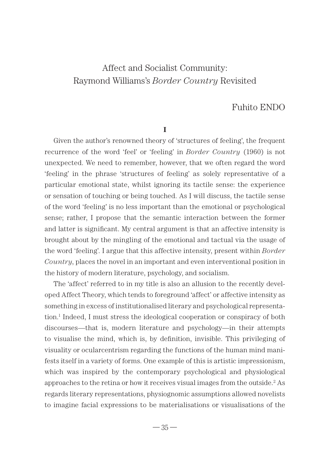# Fuhito ENDO

**I**

Given the author's renowned theory of 'structures of feeling', the frequent recurrence of the word 'feel' or 'feeling' in *Border Country* (1960) is not unexpected. We need to remember, however, that we often regard the word 'feeling' in the phrase 'structures of feeling' as solely representative of a particular emotional state, whilst ignoring its tactile sense: the experience or sensation of touching or being touched. As I will discuss, the tactile sense of the word 'feeling' is no less important than the emotional or psychological sense; rather, I propose that the semantic interaction between the former and latter is significant. My central argument is that an affective intensity is brought about by the mingling of the emotional and tactual via the usage of the word 'feeling'. I argue that this affective intensity, present within *Border Country*, places the novel in an important and even interventional position in the history of modern literature, psychology, and socialism.

The 'affect' referred to in my title is also an allusion to the recently developed Affect Theory, which tends to foreground 'affect' or affective intensity as something in excess of institutionalised literary and psychological representation.1 Indeed, I must stress the ideological cooperation or conspiracy of both discourses—that is, modern literature and psychology—in their attempts to visualise the mind, which is, by definition, invisible. This privileging of visuality or ocularcentrism regarding the functions of the human mind manifests itself in a variety of forms. One example of this is artistic impressionism, which was inspired by the contemporary psychological and physiological approaches to the retina or how it receives visual images from the outside.<sup>2</sup> As regards literary representations, physiognomic assumptions allowed novelists to imagine facial expressions to be materialisations or visualisations of the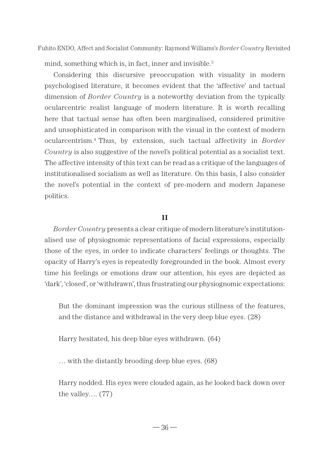mind, something which is, in fact, inner and invisible.<sup>3</sup>

Considering this discursive preoccupation with visuality in modern psychologised literature, it becomes evident that the 'affective' and tactual dimension of *Border Country* is a noteworthy deviation from the typically ocularcentric realist language of modern literature. It is worth recalling here that tactual sense has often been marginalised, considered primitive and unsophisticated in comparison with the visual in the context of modern ocularcentrism.4 Thus, by extension, such tactual affectivity in *Border Country* is also suggestive of the novel's political potential as a socialist text. The affective intensity of this text can be read as a critique of the languages of institutionalised socialism as well as literature. On this basis, I also consider the novel's potential in the context of pre-modern and modern Japanese politics.

# **II**

*Border Country* presents a clear critique of modern literature's institutionalised use of physiognomic representations of facial expressions, especially those of the eyes, in order to indicate characters' feelings or thoughts. The opacity of Harry's eyes is repeatedly foregrounded in the book. Almost every time his feelings or emotions draw our attention, his eyes are depicted as 'dark', 'closed', or 'withdrawn', thus frustrating our physiognomic expectations:

But the dominant impression was the curious stillness of the features, and the distance and withdrawal in the very deep blue eyes. (28)

Harry hesitated, his deep blue eyes withdrawn. (64)

… with the distantly brooding deep blue eyes. (68)

Harry nodded. His eyes were clouded again, as he looked back down over the valley…. (77)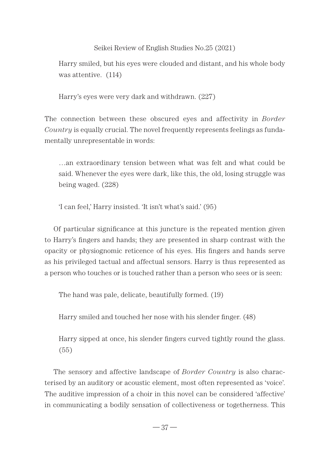Harry smiled, but his eyes were clouded and distant, and his whole body was attentive. (114)

Harry's eyes were very dark and withdrawn. (227)

The connection between these obscured eyes and affectivity in *Border Country* is equally crucial. The novel frequently represents feelings as fundamentally unrepresentable in words:

…an extraordinary tension between what was felt and what could be said. Whenever the eyes were dark, like this, the old, losing struggle was being waged. (228)

'I can feel,' Harry insisted. 'It isn't what's said.' (95)

Of particular significance at this juncture is the repeated mention given to Harry's fingers and hands; they are presented in sharp contrast with the opacity or physiognomic reticence of his eyes. His fingers and hands serve as his privileged tactual and affectual sensors. Harry is thus represented as a person who touches or is touched rather than a person who sees or is seen:

The hand was pale, delicate, beautifully formed. (19)

Harry smiled and touched her nose with his slender finger. (48)

Harry sipped at once, his slender fingers curved tightly round the glass. (55)

The sensory and affective landscape of *Border Country* is also characterised by an auditory or acoustic element, most often represented as 'voice'. The auditive impression of a choir in this novel can be considered 'affective' in communicating a bodily sensation of collectiveness or togetherness. This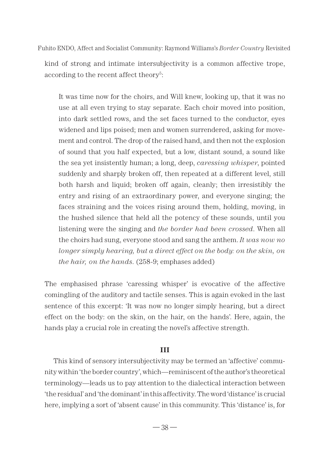kind of strong and intimate intersubjectivity is a common affective trope, according to the recent affect theory<sup>5</sup>:

It was time now for the choirs, and Will knew, looking up, that it was no use at all even trying to stay separate. Each choir moved into position, into dark settled rows, and the set faces turned to the conductor, eyes widened and lips poised; men and women surrendered, asking for movement and control. The drop of the raised hand, and then not the explosion of sound that you half expected, but a low, distant sound, a sound like the sea yet insistently human; a long, deep, *caressing whisper*, pointed suddenly and sharply broken off, then repeated at a different level, still both harsh and liquid; broken off again, cleanly; then irresistibly the entry and rising of an extraordinary power, and everyone singing; the faces straining and the voices rising around them, holding, moving, in the hushed silence that held all the potency of these sounds, until you listening were the singing and *the border had been crossed*. When all the choirs had sung, everyone stood and sang the anthem. *It was now no longer simply hearing, but a direct effect on the body: on the skin, on the hair, on the hands*. (258-9; emphases added)

The emphasised phrase 'caressing whisper' is evocative of the affective comingling of the auditory and tactile senses. This is again evoked in the last sentence of this excerpt: 'It was now no longer simply hearing, but a direct effect on the body: on the skin, on the hair, on the hands'. Here, again, the hands play a crucial role in creating the novel's affective strength.

# **III**

This kind of sensory intersubjectivity may be termed an 'affective' community within 'the border country', which—reminiscent of the author's theoretical terminology—leads us to pay attention to the dialectical interaction between 'the residual' and 'the dominant' in this affectivity. The word 'distance' is crucial here, implying a sort of 'absent cause' in this community. This 'distance' is, for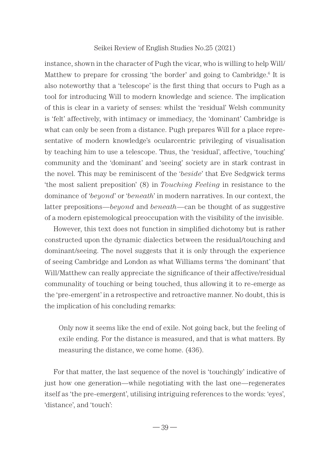instance, shown in the character of Pugh the vicar, who is willing to help Will/ Matthew to prepare for crossing 'the border' and going to Cambridge.<sup>6</sup> It is also noteworthy that a 'telescope' is the first thing that occurs to Pugh as a tool for introducing Will to modern knowledge and science. The implication of this is clear in a variety of senses: whilst the 'residual' Welsh community is 'felt' affectively, with intimacy or immediacy, the 'dominant' Cambridge is what can only be seen from a distance. Pugh prepares Will for a place representative of modern knowledge's ocularcentric privileging of visualisation by teaching him to use a telescope. Thus, the 'residual', affective, 'touching' community and the 'dominant' and 'seeing' society are in stark contrast in the novel. This may be reminiscent of the '*beside*' that Eve Sedgwick terms 'the most salient preposition' (8) in *Touching Feeling* in resistance to the dominance of '*beyond*' or '*beneath*' in modern narratives. In our context, the latter prepositions—*beyond* and *beneath*—can be thought of as suggestive of a modern epistemological preoccupation with the visibility of the invisible.

However, this text does not function in simplified dichotomy but is rather constructed upon the dynamic dialectics between the residual/touching and dominant/seeing. The novel suggests that it is only through the experience of seeing Cambridge and London as what Williams terms 'the dominant' that Will/Matthew can really appreciate the significance of their affective/residual communality of touching or being touched, thus allowing it to re-emerge as the 'pre-emergent' in a retrospective and retroactive manner. No doubt, this is the implication of his concluding remarks:

Only now it seems like the end of exile. Not going back, but the feeling of exile ending. For the distance is measured, and that is what matters. By measuring the distance, we come home. (436).

For that matter, the last sequence of the novel is 'touchingly' indicative of just how one generation—while negotiating with the last one—regenerates itself as 'the pre-emergent', utilising intriguing references to the words: 'eyes', 'distance', and 'touch':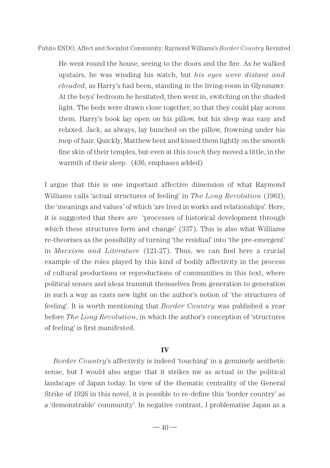He went round the house, seeing to the doors and the fire. As he walked upstairs, he was winding his watch, but *his eyes were distant and clouded*, as Harry's had been, standing in the living-room in Glynmawr. At the boys' bedroom he hesitated, then went in, switching on the shaded light. The beds were drawn close together, so that they could play across them. Harry's book lay open on his pillow, but his sleep was easy and relaxed. Jack, as always, lay bunched on the pillow, frowning under his mop of hair. Quickly, Matthew bent and kissed them lightly on the smooth fine skin of their temples, but even at this *touch* they moved a little, in the warmth of their sleep. (436; emphases added)

I argue that this is one important affective dimension of what Raymond Williams calls 'actual structures of feeling' in *The Long Revolution* (1961), the 'meanings and values' of which 'are lived in works and relationships'. Here, it is suggested that there are 'processes of historical development through which these structures form and change' (337). This is also what Williams re-theorises as the possibility of turning 'the residual' into 'the pre-emergent' in *Marxism and Literature* (121-27). Thus, we can find here a crucial example of the roles played by this kind of bodily affectivity in the process of cultural productions or reproductions of communities in this text, where political senses and ideas transmit themselves from generation to generation in such a way as casts new light on the author's notion of 'the structures of feeling'. It is worth mentioning that *Border Country* was published a year before *The Long Revolution*, in which the author's conception of 'structures of feeling' is first manifested.

#### **IV**

*Border Country*'s affectivity is indeed 'touching' in a genuinely aesthetic sense, but I would also argue that it strikes me as actual in the political landscape of Japan today. In view of the thematic centrality of the General Strike of 1926 in this novel, it is possible to re-define this 'border country' as a 'demonstrable' community'. In negative contrast, I problematise Japan as a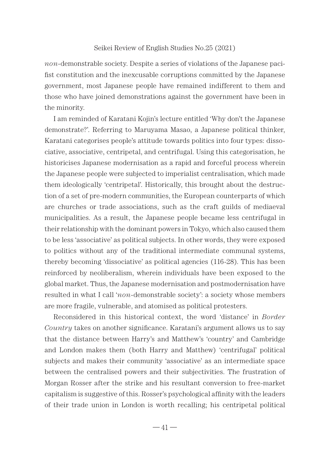*non*-demonstrable society. Despite a series of violations of the Japanese pacifist constitution and the inexcusable corruptions committed by the Japanese government, most Japanese people have remained indifferent to them and those who have joined demonstrations against the government have been in the minority.

I am reminded of Karatani Kojin's lecture entitled 'Why don't the Japanese demonstrate?'. Referring to Maruyama Masao, a Japanese political thinker, Karatani categorises people's attitude towards politics into four types: dissociative, associative, centripetal, and centrifugal. Using this categorisation, he historicises Japanese modernisation as a rapid and forceful process wherein the Japanese people were subjected to imperialist centralisation, which made them ideologically 'centripetal'. Historically, this brought about the destruction of a set of pre-modern communities, the European counterparts of which are churches or trade associations, such as the craft guilds of mediaeval municipalities. As a result, the Japanese people became less centrifugal in their relationship with the dominant powers in Tokyo, which also caused them to be less 'associative' as political subjects. In other words, they were exposed to politics without any of the traditional intermediate communal systems, thereby becoming 'dissociative' as political agencies (116-28). This has been reinforced by neoliberalism, wherein individuals have been exposed to the global market. Thus, the Japanese modernisation and postmodernisation have resulted in what I call '*non*-demonstrable society': a society whose members are more fragile, vulnerable, and atomised as political protesters.

Reconsidered in this historical context, the word 'distance' in *Border Country* takes on another significance. Karatani's argument allows us to say that the distance between Harry's and Matthew's 'country' and Cambridge and London makes them (both Harry and Matthew) 'centrifugal' political subjects and makes their community 'associative' as an intermediate space between the centralised powers and their subjectivities. The frustration of Morgan Rosser after the strike and his resultant conversion to free-market capitalism is suggestive of this. Rosser's psychological affinity with the leaders of their trade union in London is worth recalling; his centripetal political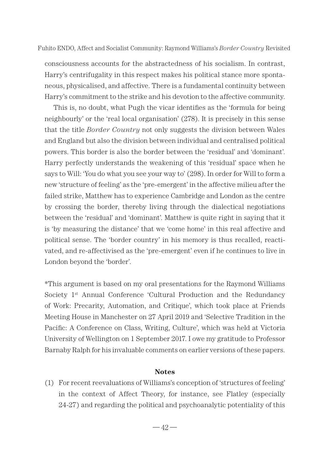consciousness accounts for the abstractedness of his socialism. In contrast, Harry's centrifugality in this respect makes his political stance more spontaneous, physicalised, and affective. There is a fundamental continuity between Harry's commitment to the strike and his devotion to the affective community.

This is, no doubt, what Pugh the vicar identifies as the 'formula for being neighbourly' or the 'real local organisation' (278). It is precisely in this sense that the title *Border Country* not only suggests the division between Wales and England but also the division between individual and centralised political powers. This border is also the border between the 'residual' and 'dominant'. Harry perfectly understands the weakening of this 'residual' space when he says to Will: 'You do what you see your way to' (298). In order for Will to form a new 'structure of feeling' as the 'pre-emergent' in the affective milieu after the failed strike, Matthew has to experience Cambridge and London as the centre by crossing the border, thereby living through the dialectical negotiations between the 'residual' and 'dominant'. Matthew is quite right in saying that it is 'by measuring the distance' that we 'come home' in this real affective and political sense. The 'border country' in his memory is thus recalled, reactivated, and re-affectivised as the 'pre-emergent' even if he continues to live in London beyond the 'border'.

\*This argument is based on my oral presentations for the Raymond Williams Society 1st Annual Conference 'Cultural Production and the Redundancy of Work: Precarity, Automation, and Critique', which took place at Friends Meeting House in Manchester on 27 April 2019 and 'Selective Tradition in the Pacific: A Conference on Class, Writing, Culture', which was held at Victoria University of Wellington on 1 September 2017. I owe my gratitude to Professor Barnaby Ralph for his invaluable comments on earlier versions of these papers.

# **Notes**

(1) For recent reevaluations of Williams's conception of 'structures of feeling' in the context of Affect Theory, for instance, see Flatley (especially 24-27) and regarding the political and psychoanalytic potentiality of this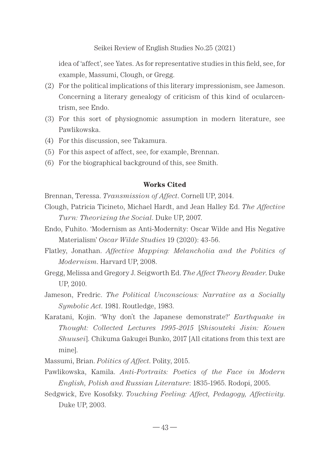idea of 'affect', see Yates. As for representative studies in this field, see, for example, Massumi, Clough, or Gregg.

- (2) For the political implications of this literary impressionism, see Jameson. Concerning a literary genealogy of criticism of this kind of ocularcentrism, see Endo.
- (3) For this sort of physiognomic assumption in modern literature, see Pawlikowska.
- (4) For this discussion, see Takamura.
- (5) For this aspect of affect, see, for example, Brennan.
- (6) For the biographical background of this, see Smith.

# **Works Cited**

- Brennan, Teressa. *Transmission of Affect*. Cornell UP, 2014.
- Clough, Patricia Ticineto, Michael Hardt, and Jean Halley Ed. *The Affective Turn: Theorizing the Social*. Duke UP, 2007.
- Endo, Fuhito. 'Modernism as Anti-Modernity: Oscar Wilde and His Negative Materialism' *Oscar Wilde Studies* 19 (2020): 43-56.
- Flatley, Jonathan. *Affective Mapping: Melancholia and the Politics of Modernism*. Harvard UP, 2008.
- Gregg, Melissa and Gregory J. Seigworth Ed. *The Affect Theory Reader*. Duke UP, 2010.
- Jameson, Fredric. *The Political Unconscious: Narrative as a Socially Symbolic Act*. 1981. Routledge, 1983.
- Karatani, Kojin. 'Why don't the Japanese demonstrate?' *Earthquake in Thought: Collected Lectures 1995-2015* [*Shisouteki Jisin: Kouen Shuusei*]. Chikuma Gakugei Bunko, 2017 [All citations from this text are mine].

Massumi, Brian. *Politics of Affect*. Polity, 2015.

- Pawlikowska, Kamila. *Anti-Portraits: Poetics of the Face in Modern English, Polish and Russian Literature*: 1835-1965. Rodopi, 2005.
- Sedgwick, Eve Kosofsky. *Touching Feeling: Affect, Pedagogy, Affectivity*. Duke UP, 2003.